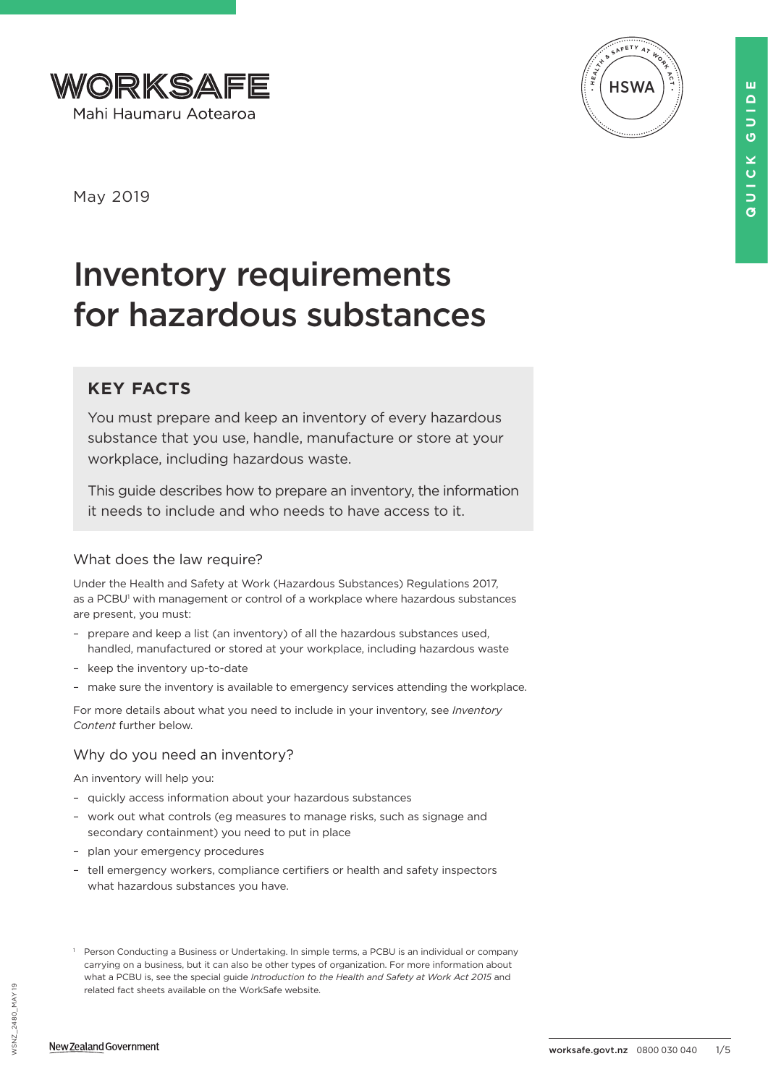



May 2019

# Inventory requirements for hazardous substances

## **KEY FACTS**

You must prepare and keep an inventory of every hazardous substance that you use, handle, manufacture or store at your workplace, including hazardous waste.

This guide describes how to prepare an inventory, the information it needs to include and who needs to have access to it.

## What does the law require?

Under the Health and Safety at Work (Hazardous Substances) Regulations 2017, as a PCBU<sup>1</sup> with management or control of a workplace where hazardous substances are present, you must:

- prepare and keep a list (an inventory) of all the hazardous substances used, handled, manufactured or stored at your workplace, including hazardous waste
- keep the inventory up-to-date
- make sure the inventory is available to emergency services attending the workplace.

For more details about what you need to include in your inventory, see *Inventory Content* further below.

## Why do you need an inventory?

An inventory will help you:

- quickly access information about your hazardous substances
- work out what controls (eg measures to manage risks, such as signage and secondary containment) you need to put in place
- plan your emergency procedures
- tell emergency workers, compliance certifiers or health and safety inspectors what hazardous substances you have.

<sup>&</sup>lt;sup>1</sup> Person Conducting a Business or Undertaking. In simple terms, a PCBU is an individual or company carrying on a business, but it can also be other types of organization. For more information about what a PCBU is, see the special guide *Introduction to the Health and Safety at Work Act 2015* and related fact sheets available on the WorkSafe website.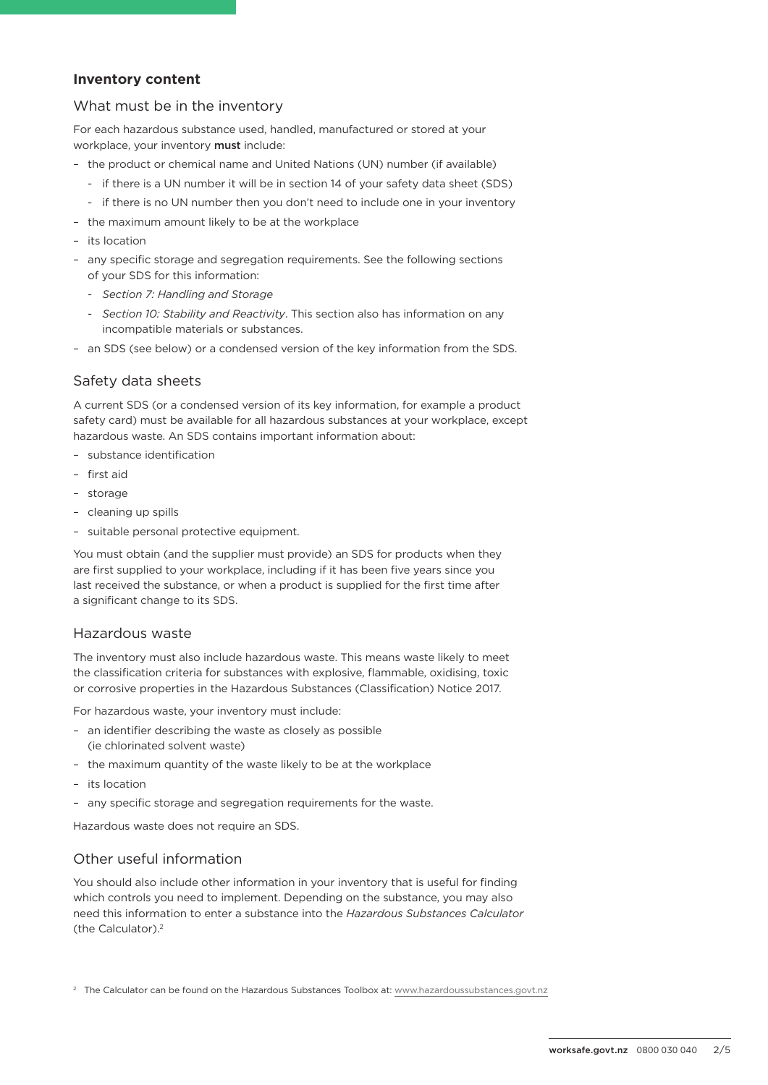## **Inventory content**

#### What must be in the inventory

For each hazardous substance used, handled, manufactured or stored at your workplace, your inventory must include:

- the product or chemical name and United Nations (UN) number (if available)
	- if there is a UN number it will be in section 14 of your safety data sheet (SDS)
	- if there is no UN number then you don't need to include one in your inventory
- the maximum amount likely to be at the workplace
- its location
- any specific storage and segregation requirements. See the following sections of your SDS for this information:
	- *Section 7: Handling and Storage*
	- *Section 10: Stability and Reactivity*. This section also has information on any incompatible materials or substances.
- an SDS (see below) or a condensed version of the key information from the SDS.

#### Safety data sheets

A current SDS (or a condensed version of its key information, for example a product safety card) must be available for all hazardous substances at your workplace, except hazardous waste. An SDS contains important information about:

- substance identification
- first aid
- storage
- cleaning up spills
- suitable personal protective equipment.

You must obtain (and the supplier must provide) an SDS for products when they are first supplied to your workplace, including if it has been five years since you last received the substance, or when a product is supplied for the first time after a significant change to its SDS.

#### Hazardous waste

The inventory must also include hazardous waste. This means waste likely to meet the classification criteria for substances with explosive, flammable, oxidising, toxic or corrosive properties in the Hazardous Substances (Classification) Notice 2017.

For hazardous waste, your inventory must include:

- an identifier describing the waste as closely as possible (ie chlorinated solvent waste)
- the maximum quantity of the waste likely to be at the workplace
- its location
- any specific storage and segregation requirements for the waste.

Hazardous waste does not require an SDS.

### Other useful information

You should also include other information in your inventory that is useful for finding which controls you need to implement. Depending on the substance, you may also need this information to enter a substance into the *Hazardous Substances Calculator* (the Calculator).2

<sup>2</sup> The Calculator can be found on the Hazardous Substances Toolbox at: [www.hazardoussubstances.govt.nz](http://www.hazardoussubstances.govt.nz)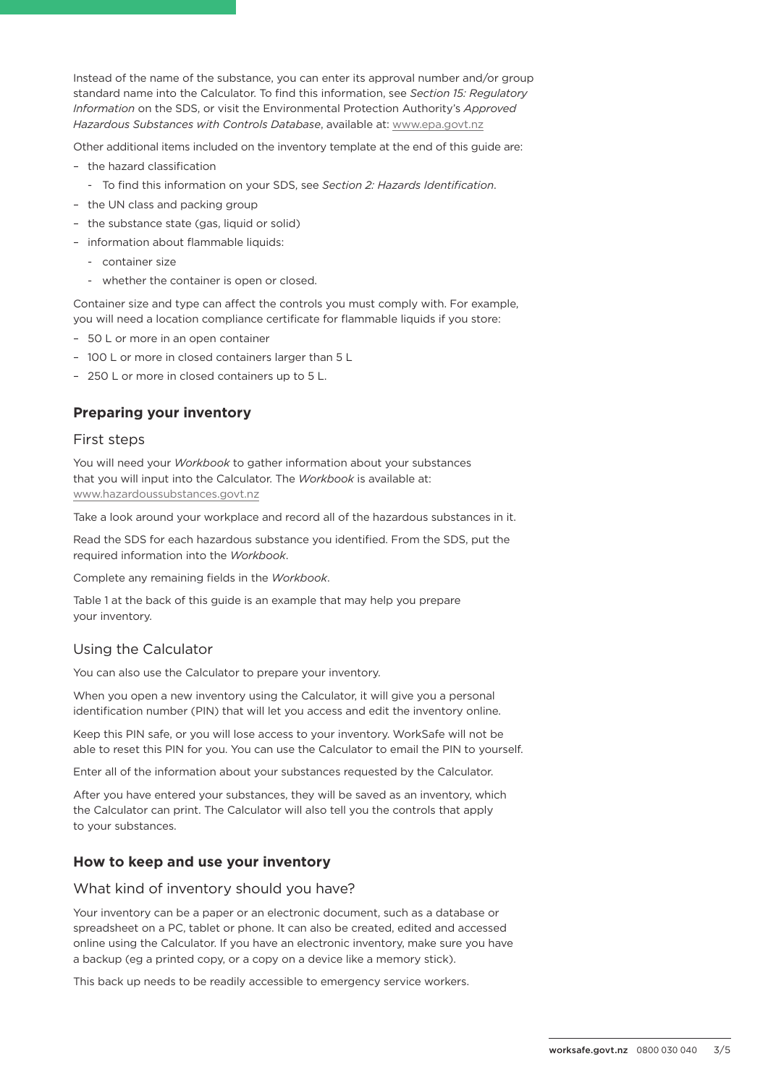Instead of the name of the substance, you can enter its approval number and/or group standard name into the Calculator. To find this information, see *Section 15: Regulatory Information* on the SDS, or visit the Environmental Protection Authority's *Approved Hazardous Substances with Controls Database*, available at: [www.epa.govt.nz](http://www.epa.govt.nz)

Other additional items included on the inventory template at the end of this guide are:

- the hazard classification
	- To find this information on your SDS, see *Section 2: Hazards Identification*.
- the UN class and packing group
- the substance state (gas, liquid or solid)
- information about flammable liquids:
	- container size
	- whether the container is open or closed.

Container size and type can affect the controls you must comply with. For example, you will need a location compliance certificate for flammable liquids if you store:

- 50 L or more in an open container
- 100 L or more in closed containers larger than 5 L
- 250 L or more in closed containers up to 5 L.

## **Preparing your inventory**

#### First steps

You will need your *Workbook* to gather information about your substances that you will input into the Calculator. The *Workbook* is available at: [www.hazardoussubstances.govt.nz](http://www.hazardoussubstances.govt.nz)

Take a look around your workplace and record all of the hazardous substances in it.

Read the SDS for each hazardous substance you identified. From the SDS, put the required information into the *Workbook*.

Complete any remaining fields in the *Workbook*.

Table 1 at the back of this guide is an example that may help you prepare your inventory.

## Using the Calculator

You can also use the Calculator to prepare your inventory.

When you open a new inventory using the Calculator, it will give you a personal identification number (PIN) that will let you access and edit the inventory online.

Keep this PIN safe, or you will lose access to your inventory. WorkSafe will not be able to reset this PIN for you. You can use the Calculator to email the PIN to yourself.

Enter all of the information about your substances requested by the Calculator.

After you have entered your substances, they will be saved as an inventory, which the Calculator can print. The Calculator will also tell you the controls that apply to your substances.

## **How to keep and use your inventory**

#### What kind of inventory should you have?

Your inventory can be a paper or an electronic document, such as a database or spreadsheet on a PC, tablet or phone. It can also be created, edited and accessed online using the Calculator. If you have an electronic inventory, make sure you have a backup (eg a printed copy, or a copy on a device like a memory stick).

This back up needs to be readily accessible to emergency service workers.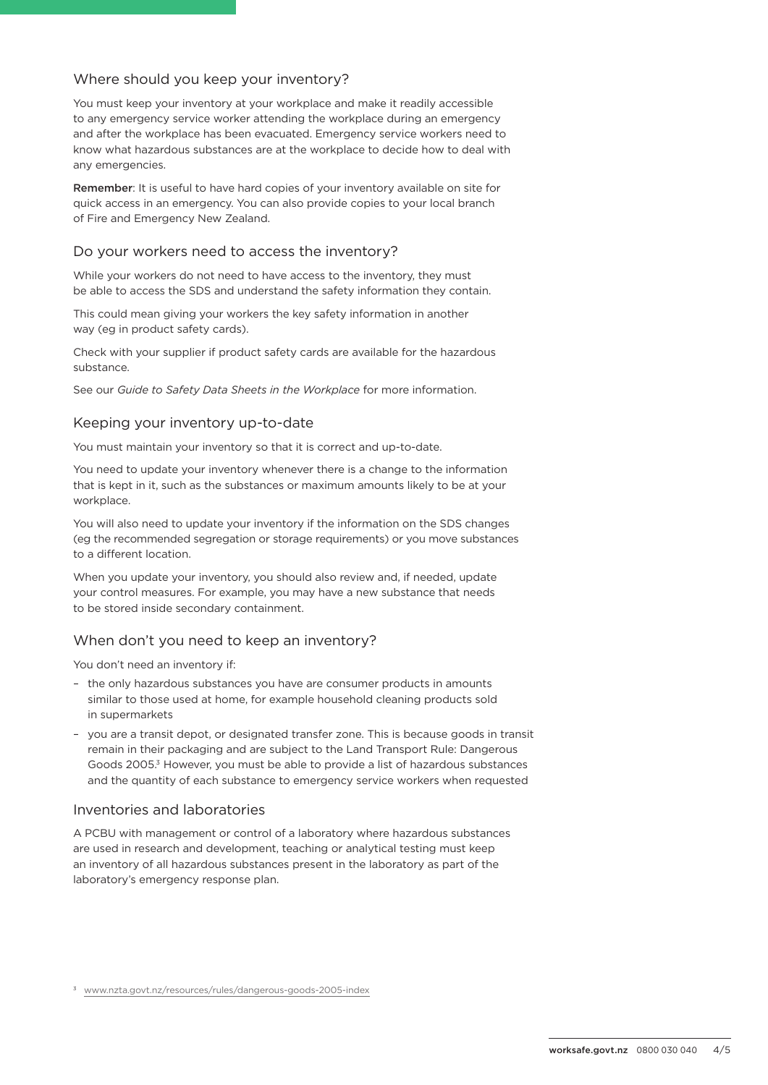## Where should you keep your inventory?

You must keep your inventory at your workplace and make it readily accessible to any emergency service worker attending the workplace during an emergency and after the workplace has been evacuated. Emergency service workers need to know what hazardous substances are at the workplace to decide how to deal with any emergencies.

Remember: It is useful to have hard copies of your inventory available on site for quick access in an emergency. You can also provide copies to your local branch of Fire and Emergency New Zealand.

## Do your workers need to access the inventory?

While your workers do not need to have access to the inventory, they must be able to access the SDS and understand the safety information they contain.

This could mean giving your workers the key safety information in another way (eg in product safety cards).

Check with your supplier if product safety cards are available for the hazardous substance.

See our *Guide to Safety Data Sheets in the Workplace* for more information.

## Keeping your inventory up-to-date

You must maintain your inventory so that it is correct and up-to-date.

You need to update your inventory whenever there is a change to the information that is kept in it, such as the substances or maximum amounts likely to be at your workplace.

You will also need to update your inventory if the information on the SDS changes (eg the recommended segregation or storage requirements) or you move substances to a different location.

When you update your inventory, you should also review and, if needed, update your control measures. For example, you may have a new substance that needs to be stored inside secondary containment.

## When don't you need to keep an inventory?

You don't need an inventory if:

- the only hazardous substances you have are consumer products in amounts similar to those used at home, for example household cleaning products sold in supermarkets
- you are a transit depot, or designated transfer zone. This is because goods in transit remain in their packaging and are subject to the Land Transport Rule: Dangerous Goods 2005.3 However, you must be able to provide a list of hazardous substances and the quantity of each substance to emergency service workers when requested

#### Inventories and laboratories

A PCBU with management or control of a laboratory where hazardous substances are used in research and development, teaching or analytical testing must keep an inventory of all hazardous substances present in the laboratory as part of the laboratory's emergency response plan.

<sup>3</sup> [www.nzta.govt.nz/resources/rules/dangerous-goods-2005-index](http://www.nzta.govt.nz/resources/rules/dangerous-goods-2005-index)